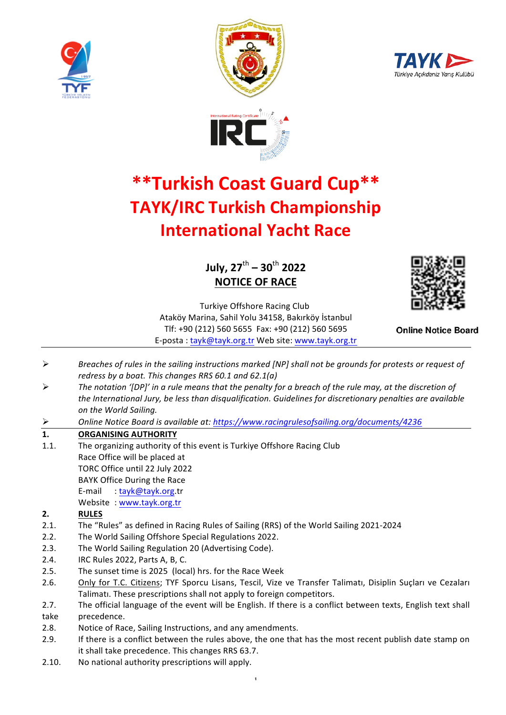







# **\*\*Turkish Coast Guard Cup\*\* TAYK/IRC Turkish Championship International Yacht Race**

# **July, 27**th **– 30**th **2022 NOTICE OF RACE**



Turkiye Offshore Racing Club Ataköy Marina, Sahil Yolu 34158, Bakırköy İstanbul Tlf: +90 (212) 560 5655 Fax: +90 (212) 560 5695 E-posta: tayk@tayk.org.tr Web site: www.tayk.org.tr

**Online Notice Board** 

- $\triangleright$  Breaches of rules in the sailing instructions marked [NP] shall not be grounds for protests or request of *redress by a boat. This changes RRS 60.1 and 62.1(a)*
- **►** The notation '[DP]' in a rule means that the penalty for a breach of the rule may, at the discretion of the International Jury, be less than disqualification. Guidelines for discretionary penalties are available *on the World Sailing.*
- Ø *Online Notice Board is available at: https://www.racingrulesofsailing.org/documents/4236*

# **1. ORGANISING AUTHORITY**

1.1. The organizing authority of this event is Turkiye Offshore Racing Club Race Office will be placed at TORC Office until 22 July 2022 BAYK Office During the Race E-mail : tayk@tayk.org.tr Website : www.tayk.org.tr

#### 2. **RULES**

- 2.1. The "Rules" as defined in Racing Rules of Sailing (RRS) of the World Sailing 2021-2024
- 2.2. The World Sailing Offshore Special Regulations 2022.
- 2.3. The World Sailing Regulation 20 (Advertising Code).
- 2.4. **IRC Rules 2022, Parts A, B, C.**
- 2.5. The sunset time is 2025 (local) hrs. for the Race Week
- 2.6. Only for T.C. Citizens; TYF Sporcu Lisans, Tescil, Vize ve Transfer Talimatı, Disiplin Suçları ve Cezaları Talimati. These prescriptions shall not apply to foreign competitors.
- 2.7. The official language of the event will be English. If there is a conflict between texts, English text shall take precedence.
- 2.8. Notice of Race, Sailing Instructions, and any amendments.
- 2.9. If there is a conflict between the rules above, the one that has the most recent publish date stamp on it shall take precedence. This changes RRS 63.7.
- 2.10. No national authority prescriptions will apply.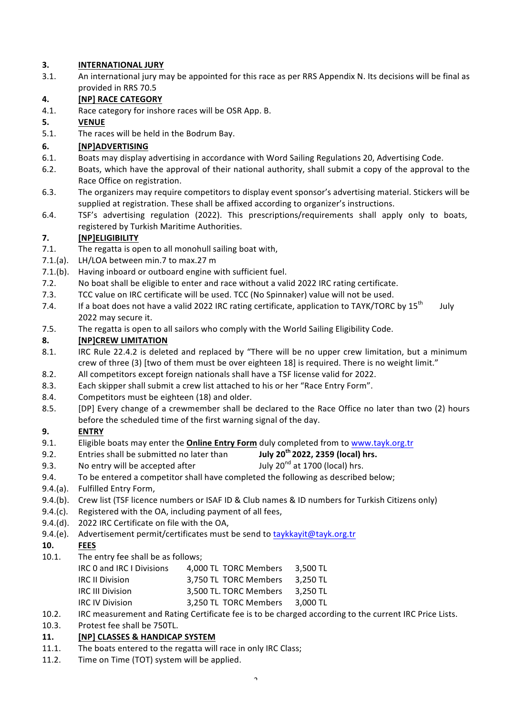#### **3. INTERNATIONAL JURY**

3.1. An international jury may be appointed for this race as per RRS Appendix N. Its decisions will be final as provided in RRS 70.5

# **4. [NP] RACE CATEGORY**

4.1. Race category for inshore races will be OSR App. B.

# **5. VENUE**

5.1. The races will be held in the Bodrum Bay.

# **6. [NP]ADVERTISING**

- 6.1. Boats may display advertising in accordance with Word Sailing Regulations 20, Advertising Code.
- 6.2. Boats, which have the approval of their national authority, shall submit a copy of the approval to the Race Office on registration.
- 6.3. The organizers may require competitors to display event sponsor's advertising material. Stickers will be supplied at registration. These shall be affixed according to organizer's instructions.
- 6.4. TSF's advertising regulation (2022). This prescriptions/requirements shall apply only to boats, registered by Turkish Maritime Authorities.

# **7. [NP]ELIGIBILITY**

- 7.1. The regatta is open to all monohull sailing boat with,
- 7.1.(a). LH/LOA between min.7 to max.27 m
- 7.1.(b). Having inboard or outboard engine with sufficient fuel.
- 7.2. No boat shall be eligible to enter and race without a valid 2022 IRC rating certificate.
- 7.3. TCC value on IRC certificate will be used. TCC (No Spinnaker) value will not be used.
- 7.4. If a boat does not have a valid 2022 IRC rating certificate, application to TAYK/TORC by  $15^{th}$  July 2022 may secure it.
- 7.5. The regatta is open to all sailors who comply with the World Sailing Eligibility Code.

#### **8. [NP]CREW LIMITATION**

- 8.1. IRC Rule 22.4.2 is deleted and replaced by "There will be no upper crew limitation, but a minimum crew of three (3) [two of them must be over eighteen 18] is required. There is no weight limit."
- 8.2. All competitors except foreign nationals shall have a TSF license valid for 2022.
- 8.3. Each skipper shall submit a crew list attached to his or her "Race Entry Form".
- 8.4. Competitors must be eighteen (18) and older.
- 8.5. [DP] Every change of a crewmember shall be declared to the Race Office no later than two (2) hours before the scheduled time of the first warning signal of the day.

# **9. ENTRY**

- 9.1. Eligible boats may enter the **Online Entry Form** duly completed from to www.tayk.org.tr
- 9.2. Entries shall be submitted no later than **July 20th 2022, 2359 (local) hrs.**
- 9.3. No entry will be accepted after  $\qquad$  July 20<sup>nd</sup> at 1700 (local) hrs.
- 9.4. To be entered a competitor shall have completed the following as described below;
- 9.4.(a). Fulfilled Entry Form,
- 9.4.(b). Crew list (TSF licence numbers or ISAF ID & Club names & ID numbers for Turkish Citizens only)
- 9.4. $(c)$ . Registered with the OA, including payment of all fees,
- 9.4.(d). 2022 IRC Certificate on file with the OA,
- 9.4.(e). Advertisement permit/certificates must be send to taykkayit@tayk.org.tr

# **10. FEES**

- 10.1. The entry fee shall be as follows;
	- IRC 0 and IRC I Divisions 4,000 TL TORC Members 3,500 TL IRC II Division 3,750 TL TORC Members 3,250 TL IRC III Division 3,500 TL. TORC Members 3,250 TL IRC IV Division 3,250 TL TORC Members 3,000 TL
- 10.2. IRC measurement and Rating Certificate fee is to be charged according to the current IRC Price Lists.
- 10.3. Protest fee shall be 750TL.

#### **11. [NP] CLASSES & HANDICAP SYSTEM**

- 11.1. The boats entered to the regatta will race in only IRC Class;
- 11.2. Time on Time (TOT) system will be applied.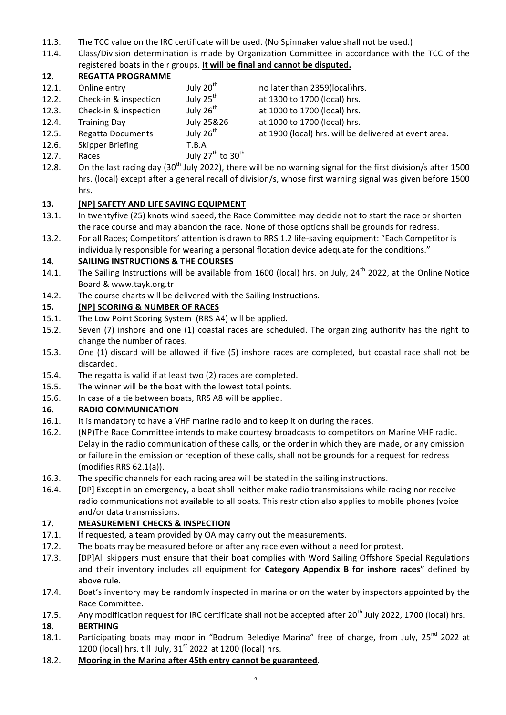- 11.3. The TCC value on the IRC certificate will be used. (No Spinnaker value shall not be used.)
- 11.4. Class/Division determination is made by Organization Committee in accordance with the TCC of the registered boats in their groups. It will be final and cannot be disputed.

# **12. REGATTA PROGRAMME**

- 12.1. Online entry  $July 20<sup>th</sup>$  no later than 2359(local)hrs. 12.2. Check-in & inspection July  $25^{th}$  at 1300 to 1700 (local) hrs.
- 12.3. Check-in & inspection July  $26<sup>th</sup>$  at 1000 to 1700 (local) hrs.
- 12.4. Training Day **July 25&26** at 1000 to 1700 (local) hrs.
- 12.5. Regatta Documents July  $26<sup>th</sup>$  at 1900 (local) hrs. will be delivered at event area.
- 
- 12.6. Skipper Briefing T.B.A
- 12.7. Races  $July 27<sup>th</sup> to 30<sup>th</sup>$
- 12.8. On the last racing day (30<sup>th</sup> July 2022), there will be no warning signal for the first division/s after 1500 hrs. (local) except after a general recall of division/s, whose first warning signal was given before 1500 hrs.

# 13. **INPI SAFETY AND LIFE SAVING EQUIPMENT**

- 13.1. In twentyfive (25) knots wind speed, the Race Committee may decide not to start the race or shorten the race course and may abandon the race. None of those options shall be grounds for redress.
- 13.2. For all Races; Competitors' attention is drawn to RRS 1.2 life-saving equipment: "Each Competitor is individually responsible for wearing a personal flotation device adequate for the conditions."

#### 14. SAILING INSTRUCTIONS & THE COURSES

- 14.1. The Sailing Instructions will be available from 1600 (local) hrs. on July,  $24^{th}$  2022, at the Online Notice Board & www.tayk.org.tr
- 14.2. The course charts will be delivered with the Sailing Instructions.

#### 15. *[NP] SCORING & NUMBER OF RACES*

- 15.1. The Low Point Scoring System (RRS A4) will be applied.
- 15.2. Seven (7) inshore and one (1) coastal races are scheduled. The organizing authority has the right to change the number of races.
- 15.3. One (1) discard will be allowed if five (5) inshore races are completed, but coastal race shall not be discarded.
- 15.4. The regatta is valid if at least two (2) races are completed.
- 15.5. The winner will be the boat with the lowest total points.
- 15.6. In case of a tie between boats, RRS A8 will be applied.

# **16. RADIO COMMUNICATION**

- 16.1. It is mandatory to have a VHF marine radio and to keep it on during the races.
- 16.2. (NP)The Race Committee intends to make courtesy broadcasts to competitors on Marine VHF radio. Delay in the radio communication of these calls, or the order in which they are made, or any omission or failure in the emission or reception of these calls, shall not be grounds for a request for redress  $(modifies$  RRS  $62.1(a)$ ).
- 16.3. The specific channels for each racing area will be stated in the sailing instructions.
- 16.4. [DP] Except in an emergency, a boat shall neither make radio transmissions while racing nor receive radio communications not available to all boats. This restriction also applies to mobile phones (voice and/or data transmissions.

# **17.** MEASUREMENT CHECKS & INSPECTION

- 17.1. If requested, a team provided by OA may carry out the measurements.
- 17.2. The boats may be measured before or after any race even without a need for protest.
- 17.3. [DP]All skippers must ensure that their boat complies with Word Sailing Offshore Special Regulations and their inventory includes all equipment for **Category Appendix B for inshore races"** defined by above rule.
- 17.4. Boat's inventory may be randomly inspected in marina or on the water by inspectors appointed by the Race Committee.
- 17.5. Any modification request for IRC certificate shall not be accepted after 20<sup>th</sup> July 2022, 1700 (local) hrs.

# **18. BERTHING**

- 18.1. Participating boats may moor in "Bodrum Belediye Marina" free of charge, from July, 25<sup>nd</sup> 2022 at 1200 (local) hrs. till July,  $31<sup>st</sup>$  2022 at 1200 (local) hrs.
- 18.2. Mooring in the Marina after 45th entry cannot be guaranteed.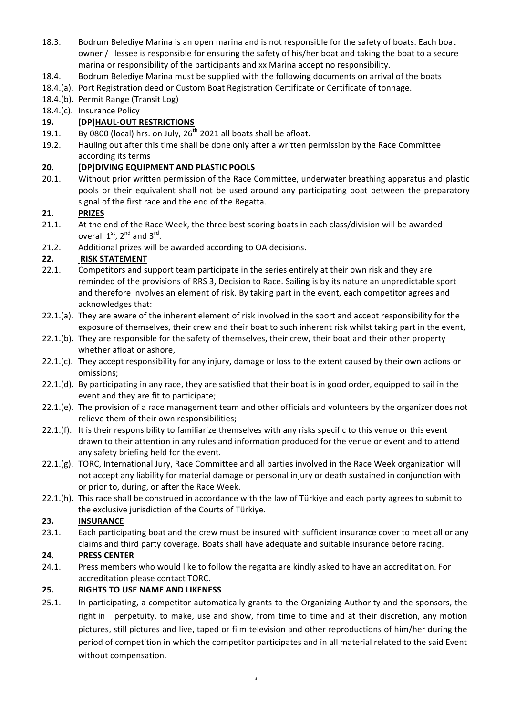- 18.3. Bodrum Belediye Marina is an open marina and is not responsible for the safety of boats. Each boat owner / lessee is responsible for ensuring the safety of his/her boat and taking the boat to a secure marina or responsibility of the participants and xx Marina accept no responsibility.
- 18.4. Bodrum Belediye Marina must be supplied with the following documents on arrival of the boats
- 18.4.(a). Port Registration deed or Custom Boat Registration Certificate or Certificate of tonnage.
- 18.4.(b). Permit Range (Transit Log)
- 18.4.(c). Insurance Policy

# **19. [DP]HAUL-OUT RESTRICTIONS**

- 19.1. By 0800 (local) hrs. on July, 26<sup>th</sup> 2021 all boats shall be afloat.
- 19.2. Hauling out after this time shall be done only after a written permission by the Race Committee according its terms

#### **20. [DP]DIVING EQUIPMENT AND PLASTIC POOLS**

20.1. Without prior written permission of the Race Committee, underwater breathing apparatus and plastic pools or their equivalent shall not be used around any participating boat between the preparatory signal of the first race and the end of the Regatta.

#### **21. PRIZES**

- 21.1. At the end of the Race Week, the three best scoring boats in each class/division will be awarded overall  $1^{st}$ ,  $2^{nd}$  and  $3^{rd}$ .
- 21.2. Additional prizes will be awarded according to OA decisions.

#### **22. RISK STATEMENT**

- 22.1. Competitors and support team participate in the series entirely at their own risk and they are reminded of the provisions of RRS 3, Decision to Race. Sailing is by its nature an unpredictable sport and therefore involves an element of risk. By taking part in the event, each competitor agrees and acknowledges that:
- 22.1.(a). They are aware of the inherent element of risk involved in the sport and accept responsibility for the exposure of themselves, their crew and their boat to such inherent risk whilst taking part in the event,
- 22.1.(b). They are responsible for the safety of themselves, their crew, their boat and their other property whether afloat or ashore,
- $22.1(c)$ . They accept responsibility for any injury, damage or loss to the extent caused by their own actions or omissions;
- 22.1.(d). By participating in any race, they are satisfied that their boat is in good order, equipped to sail in the event and they are fit to participate;
- 22.1.(e). The provision of a race management team and other officials and volunteers by the organizer does not relieve them of their own responsibilities;
- 22.1.(f). It is their responsibility to familiarize themselves with any risks specific to this venue or this event drawn to their attention in any rules and information produced for the venue or event and to attend any safety briefing held for the event.
- 22.1.(g). TORC, International Jury, Race Committee and all parties involved in the Race Week organization will not accept any liability for material damage or personal injury or death sustained in conjunction with or prior to, during, or after the Race Week.
- 22.1.(h). This race shall be construed in accordance with the law of Türkiye and each party agrees to submit to the exclusive jurisdiction of the Courts of Türkiye.

#### 23. **INSURANCE**

23.1. Each participating boat and the crew must be insured with sufficient insurance cover to meet all or any claims and third party coverage. Boats shall have adequate and suitable insurance before racing.

#### **24. PRESS CENTER**

24.1. Press members who would like to follow the regatta are kindly asked to have an accreditation. For accreditation please contact TORC.

#### **25. RIGHTS TO USE NAME AND LIKENESS**

25.1. In participating, a competitor automatically grants to the Organizing Authority and the sponsors, the right in perpetuity, to make, use and show, from time to time and at their discretion, any motion pictures, still pictures and live, taped or film television and other reproductions of him/her during the period of competition in which the competitor participates and in all material related to the said Event without compensation.